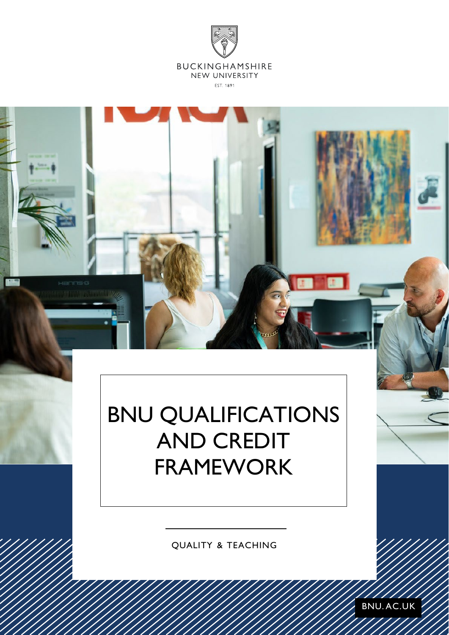



# BNU QUALIFICATIONS AND CREDIT FRAMEWORK

QUALITY & TEACHING

BNU. AC.UK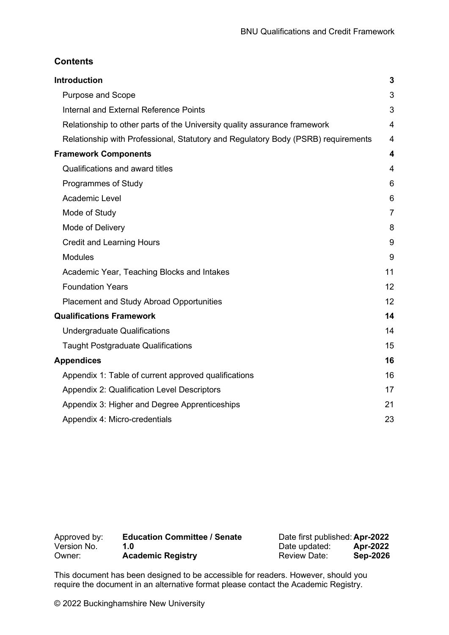### **Contents**

| <b>Introduction</b>                                                               | 3                       |
|-----------------------------------------------------------------------------------|-------------------------|
| <b>Purpose and Scope</b>                                                          | 3                       |
| Internal and External Reference Points                                            | 3                       |
| Relationship to other parts of the University quality assurance framework         | 4                       |
| Relationship with Professional, Statutory and Regulatory Body (PSRB) requirements | $\overline{4}$          |
| <b>Framework Components</b>                                                       | $\overline{\mathbf{4}}$ |
| Qualifications and award titles                                                   | $\overline{4}$          |
| Programmes of Study                                                               | 6                       |
| Academic Level                                                                    | 6                       |
| Mode of Study                                                                     | $\overline{7}$          |
| Mode of Delivery                                                                  | 8                       |
| <b>Credit and Learning Hours</b>                                                  | 9                       |
| <b>Modules</b>                                                                    | 9                       |
| Academic Year, Teaching Blocks and Intakes                                        | 11                      |
| <b>Foundation Years</b>                                                           | 12                      |
| <b>Placement and Study Abroad Opportunities</b>                                   | 12                      |
| <b>Qualifications Framework</b>                                                   | 14                      |
| <b>Undergraduate Qualifications</b>                                               | 14                      |
| <b>Taught Postgraduate Qualifications</b>                                         | 15                      |
| <b>Appendices</b>                                                                 | 16                      |
| Appendix 1: Table of current approved qualifications                              | 16                      |
| <b>Appendix 2: Qualification Level Descriptors</b>                                | 17                      |
| Appendix 3: Higher and Degree Apprenticeships                                     | 21                      |
| Appendix 4: Micro-credentials                                                     | 23                      |

| Approved by: | <b>Education Committee / Senate</b> | Date first published: Apr-2022 |                 |
|--------------|-------------------------------------|--------------------------------|-----------------|
| Version No.  | 1 ก                                 | Date updated:                  | Apr-2022        |
| Owner:       | <b>Academic Registry</b>            | <b>Review Date:</b>            | <b>Sep-2026</b> |

This document has been designed to be accessible for readers. However, should you require the document in an alternative format please contact the Academic Registry.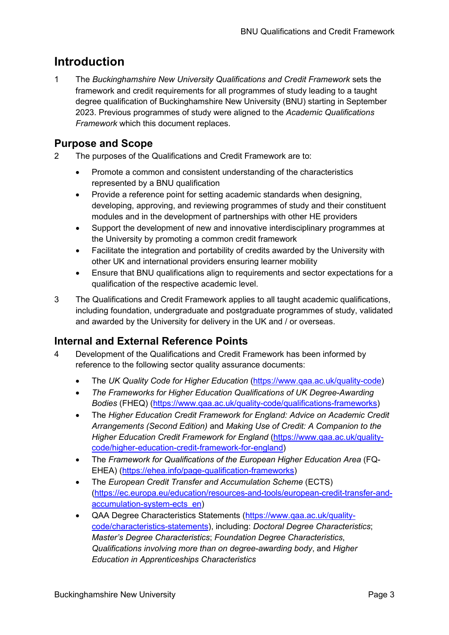# <span id="page-2-0"></span>**Introduction**

1 The *Buckinghamshire New University Qualifications and Credit Framework* sets the framework and credit requirements for all programmes of study leading to a taught degree qualification of Buckinghamshire New University (BNU) starting in September 2023. Previous programmes of study were aligned to the *Academic Qualifications Framework* which this document replaces.

# <span id="page-2-1"></span>**Purpose and Scope**

- 2 The purposes of the Qualifications and Credit Framework are to:
	- Promote a common and consistent understanding of the characteristics represented by a BNU qualification
	- Provide a reference point for setting academic standards when designing, developing, approving, and reviewing programmes of study and their constituent modules and in the development of partnerships with other HE providers
	- Support the development of new and innovative interdisciplinary programmes at the University by promoting a common credit framework
	- Facilitate the integration and portability of credits awarded by the University with other UK and international providers ensuring learner mobility
	- Ensure that BNU qualifications align to requirements and sector expectations for a qualification of the respective academic level.
- 3 The Qualifications and Credit Framework applies to all taught academic qualifications, including foundation, undergraduate and postgraduate programmes of study, validated and awarded by the University for delivery in the UK and / or overseas.

# <span id="page-2-2"></span>**Internal and External Reference Points**

- 4 Development of the Qualifications and Credit Framework has been informed by reference to the following sector quality assurance documents:
	- The *UK Quality Code for Higher Education* [\(https://www.qaa.ac.uk/quality-code\)](https://www.qaa.ac.uk/quality-code)
	- *The Frameworks for Higher Education Qualifications of UK Degree-Awarding Bodies* (FHEQ) [\(https://www.qaa.ac.uk/quality-code/qualifications-frameworks\)](https://www.qaa.ac.uk/quality-code/qualifications-frameworks)
	- The *Higher Education Credit Framework for England: Advice on Academic Credit Arrangements (Second Edition)* and *Making Use of Credit: A Companion to the Higher Education Credit Framework for England* [\(https://www.qaa.ac.uk/quality](https://www.qaa.ac.uk/quality-code/higher-education-credit-framework-for-england)[code/higher-education-credit-framework-for-england\)](https://www.qaa.ac.uk/quality-code/higher-education-credit-framework-for-england)
	- The *Framework for Qualifications of the European Higher Education Area* (FQ-EHEA) [\(https://ehea.info/page-qualification-frameworks\)](https://ehea.info/page-qualification-frameworks)
	- The *European Credit Transfer and Accumulation Scheme* (ECTS) [\(https://ec.europa.eu/education/resources-and-tools/european-credit-transfer-and](https://ec.europa.eu/education/resources-and-tools/european-credit-transfer-and-accumulation-system-ects_en)[accumulation-system-ects\\_en\)](https://ec.europa.eu/education/resources-and-tools/european-credit-transfer-and-accumulation-system-ects_en)
	- QAA Degree Characteristics Statements [\(https://www.qaa.ac.uk/quality](https://www.qaa.ac.uk/quality-code/characteristics-statements)[code/characteristics-statements\)](https://www.qaa.ac.uk/quality-code/characteristics-statements), including: *Doctoral Degree Characteristics*; *Master's Degree Characteristics*; *Foundation Degree Characteristics*, *Qualifications involving more than on degree-awarding body*, and *Higher Education in Apprenticeships Characteristics*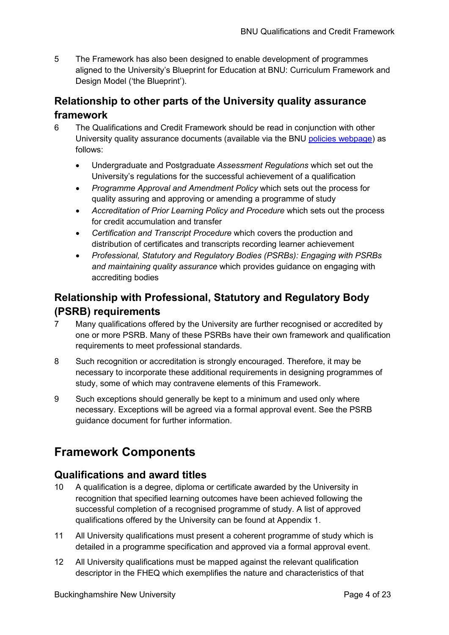5 The Framework has also been designed to enable development of programmes aligned to the University's Blueprint for Education at BNU: Curriculum Framework and Design Model ('the Blueprint').

# <span id="page-3-0"></span>**Relationship to other parts of the University quality assurance framework**

- 6 The Qualifications and Credit Framework should be read in conjunction with other University quality assurance documents (available via the BNU [policies webpage\)](https://www.bucks.ac.uk/about-us/how-our-university-operates/policies-and-strategies) as follows:
	- Undergraduate and Postgraduate *Assessment Regulations* which set out the University's regulations for the successful achievement of a qualification
	- *Programme Approval and Amendment Policy* which sets out the process for quality assuring and approving or amending a programme of study
	- *Accreditation of Prior Learning Policy and Procedure* which sets out the process for credit accumulation and transfer
	- *Certification and Transcript Procedure* which covers the production and distribution of certificates and transcripts recording learner achievement
	- *Professional, Statutory and Regulatory Bodies (PSRBs): Engaging with PSRBs and maintaining quality assurance* which provides guidance on engaging with accrediting bodies

# <span id="page-3-1"></span>**Relationship with Professional, Statutory and Regulatory Body (PSRB) requirements**

- 7 Many qualifications offered by the University are further recognised or accredited by one or more PSRB. Many of these PSRBs have their own framework and qualification requirements to meet professional standards.
- 8 Such recognition or accreditation is strongly encouraged. Therefore, it may be necessary to incorporate these additional requirements in designing programmes of study, some of which may contravene elements of this Framework.
- 9 Such exceptions should generally be kept to a minimum and used only where necessary. Exceptions will be agreed via a formal approval event. See the PSRB guidance document for further information.

# <span id="page-3-2"></span>**Framework Components**

# <span id="page-3-3"></span>**Qualifications and award titles**

- 10 A qualification is a degree, diploma or certificate awarded by the University in recognition that specified learning outcomes have been achieved following the successful completion of a recognised programme of study. A list of approved qualifications offered by the University can be found at [Appendix 1.](#page-15-1)
- 11 All University qualifications must present a coherent programme of study which is detailed in a programme specification and approved via a formal approval event.
- 12 All University qualifications must be mapped against the relevant qualification descriptor in the FHEQ which exemplifies the nature and characteristics of that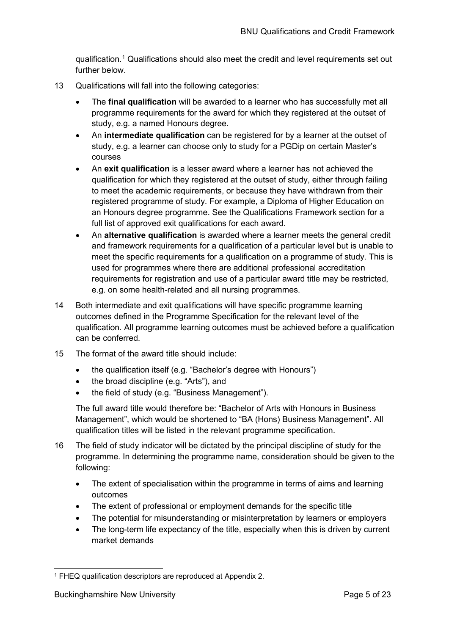qualification.[1](#page-4-0) Qualifications should also meet the credit and level requirements set out further below.

- 13 Qualifications will fall into the following categories:
	- The **final qualification** will be awarded to a learner who has successfully met all programme requirements for the award for which they registered at the outset of study, e.g. a named Honours degree.
	- An **intermediate qualification** can be registered for by a learner at the outset of study, e.g. a learner can choose only to study for a PGDip on certain Master's courses
	- An **exit qualification** is a lesser award where a learner has not achieved the qualification for which they registered at the outset of study, either through failing to meet the academic requirements, or because they have withdrawn from their registered programme of study. For example, a Diploma of Higher Education on an Honours degree programme. See the Qualifications Framework section for a full list of approved exit qualifications for each award.
	- An **alternative qualification** is awarded where a learner meets the general credit and framework requirements for a qualification of a particular level but is unable to meet the specific requirements for a qualification on a programme of study. This is used for programmes where there are additional professional accreditation requirements for registration and use of a particular award title may be restricted, e.g. on some health-related and all nursing programmes.
- 14 Both intermediate and exit qualifications will have specific programme learning outcomes defined in the Programme Specification for the relevant level of the qualification. All programme learning outcomes must be achieved before a qualification can be conferred.
- 15 The format of the award title should include:
	- the qualification itself (e.g. "Bachelor's degree with Honours")
	- the broad discipline (e.g. "Arts"), and
	- the field of study (e.g. "Business Management").

The full award title would therefore be: "Bachelor of Arts with Honours in Business Management", which would be shortened to "BA (Hons) Business Management". All qualification titles will be listed in the relevant programme specification.

- 16 The field of study indicator will be dictated by the principal discipline of study for the programme. In determining the programme name, consideration should be given to the following:
	- The extent of specialisation within the programme in terms of aims and learning outcomes
	- The extent of professional or employment demands for the specific title
	- The potential for misunderstanding or misinterpretation by learners or employers
	- The long-term life expectancy of the title, especially when this is driven by current market demands

<span id="page-4-0"></span><sup>1</sup> FHEQ qualification descriptors are reproduced at Appendix 2.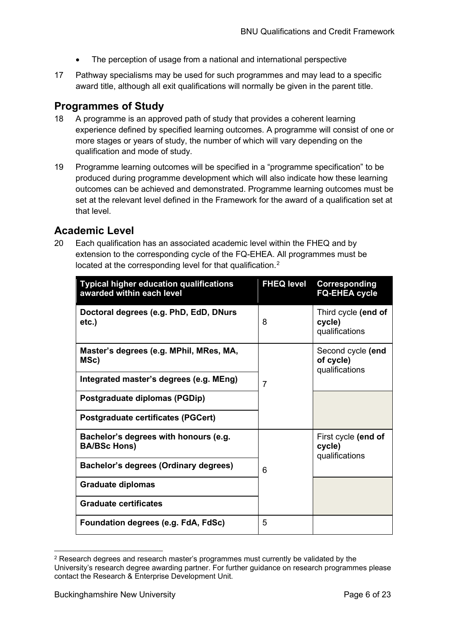- The perception of usage from a national and international perspective
- 17 Pathway specialisms may be used for such programmes and may lead to a specific award title, although all exit qualifications will normally be given in the parent title.

# <span id="page-5-0"></span>**Programmes of Study**

- 18 A programme is an approved path of study that provides a coherent learning experience defined by specified learning outcomes. A programme will consist of one or more stages or years of study, the number of which will vary depending on the qualification and mode of study.
- 19 Programme learning outcomes will be specified in a "programme specification" to be produced during programme development which will also indicate how these learning outcomes can be achieved and demonstrated. Programme learning outcomes must be set at the relevant level defined in the Framework for the award of a qualification set at that level.

# <span id="page-5-1"></span>**Academic Level**

20 Each qualification has an associated academic level within the FHEQ and by extension to the corresponding cycle of the FQ-EHEA. All programmes must be located at the corresponding level for that qualification.<sup>[2](#page-5-2)</sup>

| <b>Typical higher education qualifications</b><br>awarded within each level | <b>FHEQ level</b> | <b>Corresponding</b><br><b>FQ-EHEA cycle</b>     |
|-----------------------------------------------------------------------------|-------------------|--------------------------------------------------|
| Doctoral degrees (e.g. PhD, EdD, DNurs<br>$etc.$ )                          | 8                 | Third cycle (end of<br>cycle)<br>qualifications  |
| Master's degrees (e.g. MPhil, MRes, MA,<br>MSc)                             |                   | Second cycle (end<br>of cycle)<br>qualifications |
| Integrated master's degrees (e.g. MEng)                                     | $\overline{7}$    |                                                  |
| Postgraduate diplomas (PGDip)                                               |                   |                                                  |
| <b>Postgraduate certificates (PGCert)</b>                                   |                   |                                                  |
| Bachelor's degrees with honours (e.g.<br><b>BA/BSc Hons)</b>                |                   | First cycle (end of<br>cycle)<br>qualifications  |
| Bachelor's degrees (Ordinary degrees)                                       | 6                 |                                                  |
| <b>Graduate diplomas</b>                                                    |                   |                                                  |
| <b>Graduate certificates</b>                                                |                   |                                                  |
| Foundation degrees (e.g. FdA, FdSc)                                         | 5                 |                                                  |

<span id="page-5-2"></span><sup>2</sup> Research degrees and research master's programmes must currently be validated by the University's research degree awarding partner. For further guidance on research programmes please contact the Research & Enterprise Development Unit.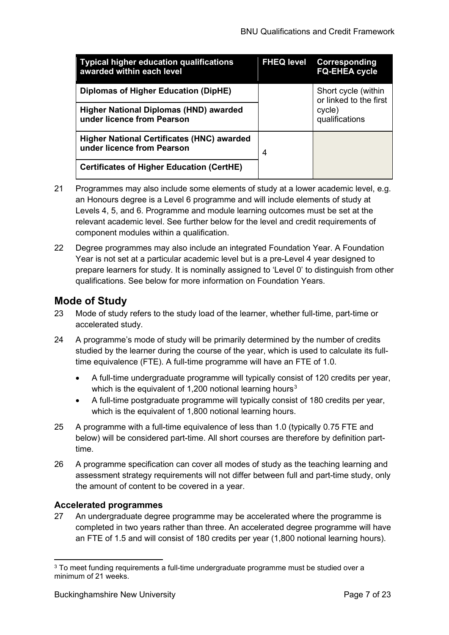| <b>Typical higher education qualifications</b><br>awarded within each level     | <b>FHEQ level</b> | Corresponding<br><b>FQ-EHEA cycle</b>         |
|---------------------------------------------------------------------------------|-------------------|-----------------------------------------------|
| Diplomas of Higher Education (DipHE)                                            |                   | Short cycle (within<br>or linked to the first |
| <b>Higher National Diplomas (HND) awarded</b><br>under licence from Pearson     |                   | cycle)<br>qualifications                      |
| <b>Higher National Certificates (HNC) awarded</b><br>under licence from Pearson | 4                 |                                               |
| <b>Certificates of Higher Education (CertHE)</b>                                |                   |                                               |

- 21 Programmes may also include some elements of study at a lower academic level, e.g. an Honours degree is a Level 6 programme and will include elements of study at Levels 4, 5, and 6. Programme and module learning outcomes must be set at the relevant academic level. See further below for the level and credit requirements of component modules within a qualification.
- 22 Degree programmes may also include an integrated Foundation Year. A Foundation Year is not set at a particular academic level but is a pre-Level 4 year designed to prepare learners for study. It is nominally assigned to 'Level 0' to distinguish from other qualifications. See below for more information on Foundation Years.

# <span id="page-6-0"></span>**Mode of Study**

- 23 Mode of study refers to the study load of the learner, whether full-time, part-time or accelerated study.
- 24 A programme's mode of study will be primarily determined by the number of credits studied by the learner during the course of the year, which is used to calculate its fulltime equivalence (FTE). A full-time programme will have an FTE of 1.0.
	- A full-time undergraduate programme will typically consist of 120 credits per year, which is the equivalent of 1,200 notional learning hours<sup>[3](#page-6-1)</sup>
	- A full-time postgraduate programme will typically consist of 180 credits per year, which is the equivalent of 1,800 notional learning hours.
- 25 A programme with a full-time equivalence of less than 1.0 (typically 0.75 FTE and below) will be considered part-time. All short courses are therefore by definition parttime.
- 26 A programme specification can cover all modes of study as the teaching learning and assessment strategy requirements will not differ between full and part-time study, only the amount of content to be covered in a year.

#### **Accelerated programmes**

27 An undergraduate degree programme may be accelerated where the programme is completed in two years rather than three. An accelerated degree programme will have an FTE of 1.5 and will consist of 180 credits per year (1,800 notional learning hours).

<span id="page-6-1"></span><sup>&</sup>lt;sup>3</sup> To meet funding requirements a full-time undergraduate programme must be studied over a minimum of 21 weeks.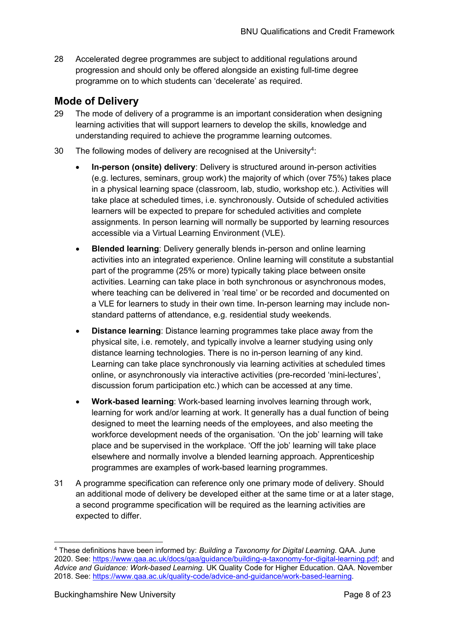28 Accelerated degree programmes are subject to additional regulations around progression and should only be offered alongside an existing full-time degree programme on to which students can 'decelerate' as required.

# <span id="page-7-0"></span>**Mode of Delivery**

- 29 The mode of delivery of a programme is an important consideration when designing learning activities that will support learners to develop the skills, knowledge and understanding required to achieve the programme learning outcomes.
- 30 The following modes of delivery are recognised at the University<sup>[4](#page-7-1)</sup>:
	- **In-person (onsite) delivery**: Delivery is structured around in-person activities (e.g. lectures, seminars, group work) the majority of which (over 75%) takes place in a physical learning space (classroom, lab, studio, workshop etc.). Activities will take place at scheduled times, i.e. synchronously. Outside of scheduled activities learners will be expected to prepare for scheduled activities and complete assignments. In person learning will normally be supported by learning resources accessible via a Virtual Learning Environment (VLE).
	- **Blended learning**: Delivery generally blends in-person and online learning activities into an integrated experience. Online learning will constitute a substantial part of the programme (25% or more) typically taking place between onsite activities. Learning can take place in both synchronous or asynchronous modes, where teaching can be delivered in 'real time' or be recorded and documented on a VLE for learners to study in their own time. In-person learning may include nonstandard patterns of attendance, e.g. residential study weekends.
	- **Distance learning**: Distance learning programmes take place away from the physical site, i.e. remotely, and typically involve a learner studying using only distance learning technologies. There is no in-person learning of any kind. Learning can take place synchronously via learning activities at scheduled times online, or asynchronously via interactive activities (pre-recorded 'mini-lectures', discussion forum participation etc.) which can be accessed at any time.
	- **Work-based learning**: Work-based learning involves learning through work, learning for work and/or learning at work. It generally has a dual function of being designed to meet the learning needs of the employees, and also meeting the workforce development needs of the organisation. 'On the job' learning will take place and be supervised in the workplace. 'Off the job' learning will take place elsewhere and normally involve a blended learning approach. Apprenticeship programmes are examples of work-based learning programmes.
- 31 A programme specification can reference only one primary mode of delivery. Should an additional mode of delivery be developed either at the same time or at a later stage, a second programme specification will be required as the learning activities are expected to differ.

<span id="page-7-1"></span><sup>4</sup> These definitions have been informed by: *Building a Taxonomy for Digital Learning*. QAA. June 2020. See: [https://www.qaa.ac.uk/docs/qaa/guidance/building-a-taxonomy-for-digital-learning.pdf;](https://www.qaa.ac.uk/docs/qaa/guidance/building-a-taxonomy-for-digital-learning.pdf) and *Advice and Guidance: Work-based Learning.* UK Quality Code for Higher Education. QAA. November 2018. See: [https://www.qaa.ac.uk/quality-code/advice-and-guidance/work-based-learning.](https://www.qaa.ac.uk/quality-code/advice-and-guidance/work-based-learning)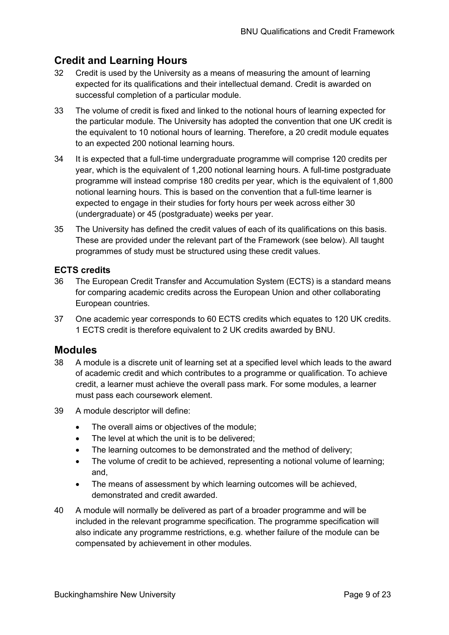# <span id="page-8-0"></span>**Credit and Learning Hours**

- 32 Credit is used by the University as a means of measuring the amount of learning expected for its qualifications and their intellectual demand. Credit is awarded on successful completion of a particular module.
- 33 The volume of credit is fixed and linked to the notional hours of learning expected for the particular module. The University has adopted the convention that one UK credit is the equivalent to 10 notional hours of learning. Therefore, a 20 credit module equates to an expected 200 notional learning hours.
- 34 It is expected that a full-time undergraduate programme will comprise 120 credits per year, which is the equivalent of 1,200 notional learning hours. A full-time postgraduate programme will instead comprise 180 credits per year, which is the equivalent of 1,800 notional learning hours. This is based on the convention that a full-time learner is expected to engage in their studies for forty hours per week across either 30 (undergraduate) or 45 (postgraduate) weeks per year.
- 35 The University has defined the credit values of each of its qualifications on this basis. These are provided under the relevant part of the Framework (see below). All taught programmes of study must be structured using these credit values.

#### **ECTS credits**

- 36 The European Credit Transfer and Accumulation System (ECTS) is a standard means for comparing academic credits across the European Union and other collaborating European countries.
- 37 One academic year corresponds to 60 ECTS credits which equates to 120 UK credits. 1 ECTS credit is therefore equivalent to 2 UK credits awarded by BNU.

## <span id="page-8-1"></span>**Modules**

- 38 A module is a discrete unit of learning set at a specified level which leads to the award of academic credit and which contributes to a programme or qualification. To achieve credit, a learner must achieve the overall pass mark. For some modules, a learner must pass each coursework element.
- 39 A module descriptor will define:
	- The overall aims or objectives of the module;
	- The level at which the unit is to be delivered:
	- The learning outcomes to be demonstrated and the method of delivery;
	- The volume of credit to be achieved, representing a notional volume of learning; and,
	- The means of assessment by which learning outcomes will be achieved, demonstrated and credit awarded.
- 40 A module will normally be delivered as part of a broader programme and will be included in the relevant programme specification. The programme specification will also indicate any programme restrictions, e.g. whether failure of the module can be compensated by achievement in other modules.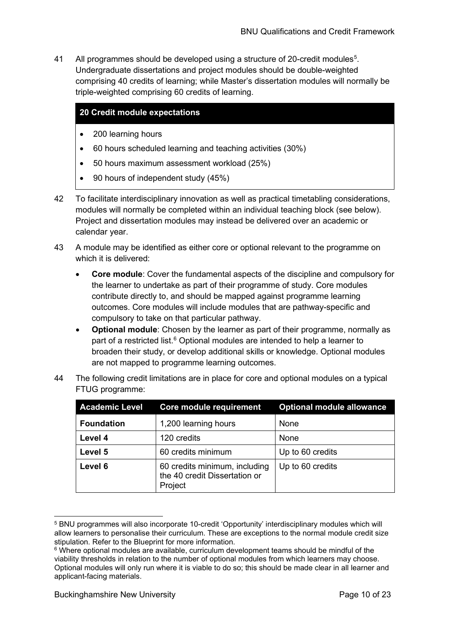41 All programmes should be developed using a structure of 20-credit modules<sup>[5](#page-9-0)</sup>. Undergraduate dissertations and project modules should be double-weighted comprising 40 credits of learning; while Master's dissertation modules will normally be triple-weighted comprising 60 credits of learning.

#### **20 Credit module expectations**

- 200 learning hours
- 60 hours scheduled learning and teaching activities (30%)
- 50 hours maximum assessment workload (25%)
- 90 hours of independent study (45%)
- 42 To facilitate interdisciplinary innovation as well as practical timetabling considerations, modules will normally be completed within an individual teaching block (see below). Project and dissertation modules may instead be delivered over an academic or calendar year.
- 43 A module may be identified as either core or optional relevant to the programme on which it is delivered:
	- **Core module**: Cover the fundamental aspects of the discipline and compulsory for the learner to undertake as part of their programme of study. Core modules contribute directly to, and should be mapped against programme learning outcomes. Core modules will include modules that are pathway-specific and compulsory to take on that particular pathway.
	- **Optional module**: Chosen by the learner as part of their programme, normally as part of a restricted list.<sup>6</sup> Optional modules are intended to help a learner to broaden their study, or develop additional skills or knowledge. Optional modules are not mapped to programme learning outcomes.
- 44 The following credit limitations are in place for core and optional modules on a typical FTUG programme:

| <b>Academic Level</b> | Core module requirement                                                   | <b>Optional module allowance</b> |
|-----------------------|---------------------------------------------------------------------------|----------------------------------|
| <b>Foundation</b>     | 1,200 learning hours                                                      | None                             |
| Level 4               | 120 credits                                                               | None                             |
| Level 5               | 60 credits minimum                                                        | Up to 60 credits                 |
| Level 6               | 60 credits minimum, including<br>the 40 credit Dissertation or<br>Project | Up to 60 credits                 |

<span id="page-9-0"></span><sup>5</sup> BNU programmes will also incorporate 10-credit 'Opportunity' interdisciplinary modules which will allow learners to personalise their curriculum. These are exceptions to the normal module credit size stipulation. Refer to the Blueprint for more information.

<span id="page-9-1"></span> $6$  Where optional modules are available, curriculum development teams should be mindful of the viability thresholds in relation to the number of optional modules from which learners may choose. Optional modules will only run where it is viable to do so; this should be made clear in all learner and applicant-facing materials.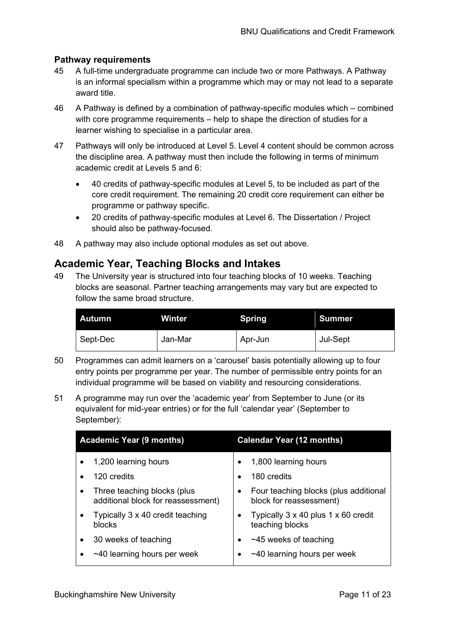#### **Pathway requirements**

- 45 A full-time undergraduate programme can include two or more Pathways. A Pathway is an informal specialism within a programme which may or may not lead to a separate award title.
- 46 A Pathway is defined by a combination of pathway-specific modules which combined with core programme requirements – help to shape the direction of studies for a learner wishing to specialise in a particular area.
- 47 Pathways will only be introduced at Level 5. Level 4 content should be common across the discipline area. A pathway must then include the following in terms of minimum academic credit at Levels 5 and 6:
	- 40 credits of pathway-specific modules at Level 5, to be included as part of the core credit requirement. The remaining 20 credit core requirement can either be programme or pathway specific.
	- 20 credits of pathway-specific modules at Level 6. The Dissertation / Project should also be pathway-focused.
- 48 A pathway may also include optional modules as set out above.

#### <span id="page-10-0"></span>**Academic Year, Teaching Blocks and Intakes**

49 The University year is structured into four teaching blocks of 10 weeks. Teaching blocks are seasonal. Partner teaching arrangements may vary but are expected to follow the same broad structure.

| <b>Autumn</b> | Winter  | <b>Spring</b> | <b>Summer</b> |
|---------------|---------|---------------|---------------|
| Sept-Dec      | Jan-Mar | Apr-Jun       | Jul-Sept      |

- 50 Programmes can admit learners on a 'carousel' basis potentially allowing up to four entry points per programme per year. The number of permissible entry points for an individual programme will be based on viability and resourcing considerations.
- 51 A programme may run over the 'academic year' from September to June (or its equivalent for mid-year entries) or for the full 'calendar year' (September to September):

| <b>Academic Year (9 months)</b> |                                                                   | <b>Calendar Year (12 months)</b> |                                                                  |  |
|---------------------------------|-------------------------------------------------------------------|----------------------------------|------------------------------------------------------------------|--|
|                                 | 1,200 learning hours                                              |                                  | 1,800 learning hours                                             |  |
|                                 | 120 credits                                                       |                                  | 180 credits                                                      |  |
| $\bullet$                       | Three teaching blocks (plus<br>additional block for reassessment) |                                  | Four teaching blocks (plus additional<br>block for reassessment) |  |
| $\bullet$                       | Typically 3 x 40 credit teaching<br><b>blocks</b>                 |                                  | Typically 3 x 40 plus 1 x 60 credit<br>teaching blocks           |  |
| ٠                               | 30 weeks of teaching                                              |                                  | $~1$ $~45$ weeks of teaching                                     |  |
|                                 | $\sim$ 40 learning hours per week                                 |                                  | $~1$ -40 learning hours per week                                 |  |
|                                 |                                                                   |                                  |                                                                  |  |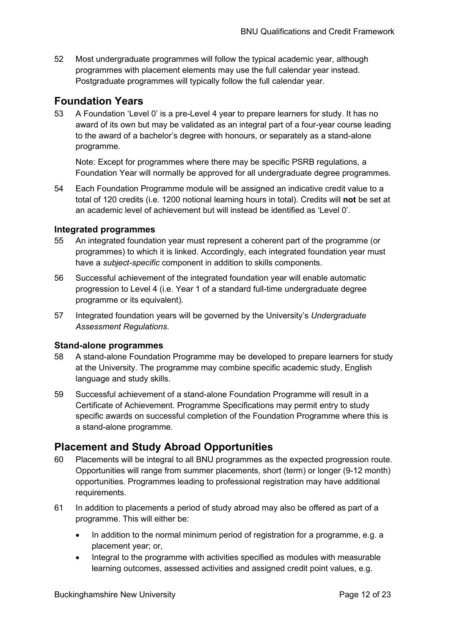52 Most undergraduate programmes will follow the typical academic year, although programmes with placement elements may use the full calendar year instead. Postgraduate programmes will typically follow the full calendar year.

# <span id="page-11-0"></span>**Foundation Years**

53 A Foundation 'Level 0' is a pre-Level 4 year to prepare learners for study. It has no award of its own but may be validated as an integral part of a four-year course leading to the award of a bachelor's degree with honours, or separately as a stand-alone programme.

Note: Except for programmes where there may be specific PSRB regulations, a Foundation Year will normally be approved for all undergraduate degree programmes.

54 Each Foundation Programme module will be assigned an indicative credit value to a total of 120 credits (i.e. 1200 notional learning hours in total). Credits will **not** be set at an academic level of achievement but will instead be identified as 'Level 0'.

#### **Integrated programmes**

- 55 An integrated foundation year must represent a coherent part of the programme (or programmes) to which it is linked. Accordingly, each integrated foundation year must have a *subject-specific* component in addition to skills components.
- 56 Successful achievement of the integrated foundation year will enable automatic progression to Level 4 (i.e. Year 1 of a standard full-time undergraduate degree programme or its equivalent).
- 57 Integrated foundation years will be governed by the University's *Undergraduate Assessment Regulations*.

#### **Stand-alone programmes**

- 58 A stand-alone Foundation Programme may be developed to prepare learners for study at the University. The programme may combine specific academic study, English language and study skills.
- 59 Successful achievement of a stand-alone Foundation Programme will result in a Certificate of Achievement. Programme Specifications may permit entry to study specific awards on successful completion of the Foundation Programme where this is a stand-alone programme.

## <span id="page-11-1"></span>**Placement and Study Abroad Opportunities**

- 60 Placements will be integral to all BNU programmes as the expected progression route. Opportunities will range from summer placements, short (term) or longer (9-12 month) opportunities. Programmes leading to professional registration may have additional requirements.
- 61 In addition to placements a period of study abroad may also be offered as part of a programme. This will either be:
	- In addition to the normal minimum period of registration for a programme, e.g. a placement year; or,
	- Integral to the programme with activities specified as modules with measurable learning outcomes, assessed activities and assigned credit point values, e.g.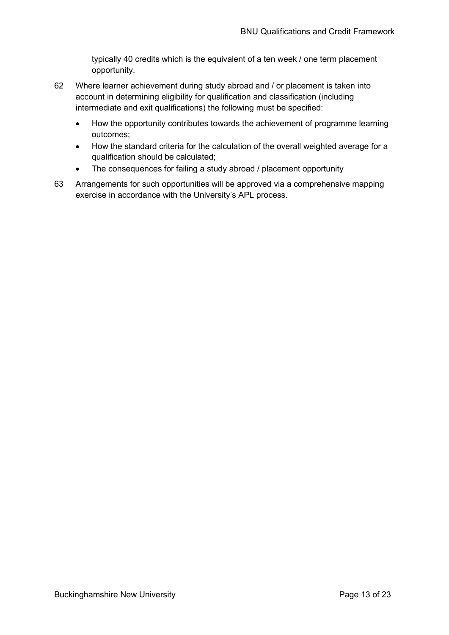typically 40 credits which is the equivalent of a ten week / one term placement opportunity.

- 62 Where learner achievement during study abroad and / or placement is taken into account in determining eligibility for qualification and classification (including intermediate and exit qualifications) the following must be specified:
	- How the opportunity contributes towards the achievement of programme learning outcomes;
	- How the standard criteria for the calculation of the overall weighted average for a qualification should be calculated;
	- The consequences for failing a study abroad / placement opportunity
- 63 Arrangements for such opportunities will be approved via a comprehensive mapping exercise in accordance with the University's APL process.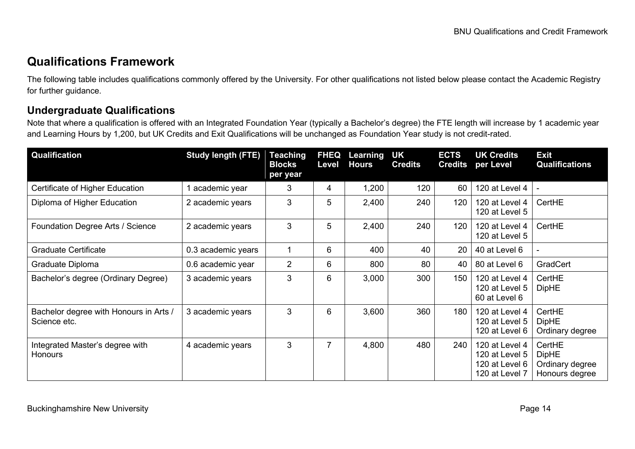# **Qualifications Framework**

The following table includes qualifications commonly offered by the University. For other qualifications not listed below please contact the Academic Registry for further guidance.

## **Undergraduate Qualifications**

Note that where a qualification is offered with an Integrated Foundation Year (typically a Bachelor's degree) the FTE length will increase by 1 academic year and Learning Hours by 1,200, but UK Credits and Exit Qualifications will be unchanged as Foundation Year study is not credit-rated.

<span id="page-13-1"></span><span id="page-13-0"></span>

| <b>Qualification</b>                                   | <b>Study length (FTE)</b> | <b>Teaching</b><br><b>Blocks</b><br>per year | <b>FHEQ</b><br>Level | Learning<br><b>Hours</b> | UK<br><b>Credits</b> | <b>ECTS</b><br><b>Credits</b> | <b>UK Credits</b><br>per Level                                       | <b>Exit</b><br><b>Qualifications</b>                        |
|--------------------------------------------------------|---------------------------|----------------------------------------------|----------------------|--------------------------|----------------------|-------------------------------|----------------------------------------------------------------------|-------------------------------------------------------------|
| Certificate of Higher Education                        | academic year             | 3                                            | 4                    | 1,200                    | 120                  | 60                            | 120 at Level 4                                                       |                                                             |
| Diploma of Higher Education                            | 2 academic years          | 3                                            | 5                    | 2,400                    | 240                  | 120                           | 120 at Level 4<br>120 at Level 5                                     | CertHE                                                      |
| Foundation Degree Arts / Science                       | 2 academic years          | 3                                            | 5                    | 2,400                    | 240                  | 120                           | 120 at Level 4<br>120 at Level 5                                     | CertHE                                                      |
| <b>Graduate Certificate</b>                            | 0.3 academic years        |                                              | 6                    | 400                      | 40                   | 20                            | 40 at Level 6                                                        |                                                             |
| Graduate Diploma                                       | 0.6 academic year         | $\overline{2}$                               | 6                    | 800                      | 80                   | 40                            | 80 at Level 6                                                        | GradCert                                                    |
| Bachelor's degree (Ordinary Degree)                    | 3 academic years          | 3                                            | 6                    | 3,000                    | 300                  | 150                           | 120 at Level 4<br>120 at Level 5<br>60 at Level 6                    | CertHE<br><b>DipHE</b>                                      |
| Bachelor degree with Honours in Arts /<br>Science etc. | 3 academic years          | 3                                            | 6                    | 3,600                    | 360                  | 180                           | 120 at Level 4<br>120 at Level 5<br>120 at Level 6                   | CertHE<br><b>DipHE</b><br>Ordinary degree                   |
| Integrated Master's degree with<br><b>Honours</b>      | 4 academic years          | 3                                            |                      | 4,800                    | 480                  | 240                           | 120 at Level 4<br>120 at Level 5<br>120 at Level 6<br>120 at Level 7 | CertHE<br><b>DipHE</b><br>Ordinary degree<br>Honours degree |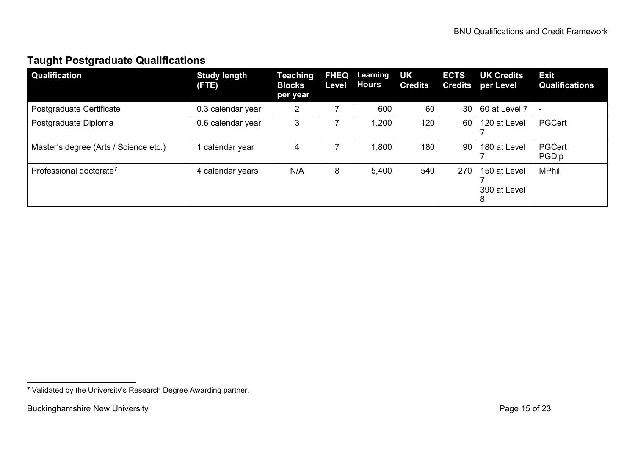# <span id="page-14-1"></span>**Taught Postgraduate Qualifications**

| <b>Qualification</b>                  | <b>Study length</b><br>(FTE) | <b>Teaching</b><br><b>Blocks</b><br>per year | <b>FHEQ</b><br>Level | Learning<br><b>Hours</b> | <b>UK</b><br><b>Credits</b> | <b>ECTS</b><br><b>Credits</b> | <b>UK Credits</b><br>per Level    | <b>Exit</b><br><b>Qualifications</b> |
|---------------------------------------|------------------------------|----------------------------------------------|----------------------|--------------------------|-----------------------------|-------------------------------|-----------------------------------|--------------------------------------|
| Postgraduate Certificate              | 0.3 calendar year            | 2                                            |                      | 600                      | 60                          | 30                            | 60 at Level 7                     | $\overline{\phantom{a}}$             |
| Postgraduate Diploma                  | 0.6 calendar year            | 3                                            |                      | 1,200                    | 120                         | 60                            | 120 at Level                      | PGCert                               |
| Master's degree (Arts / Science etc.) | calendar year                | 4                                            |                      | 1,800                    | 180                         | 90                            | 180 at Level                      | <b>PGCert</b><br>PGDip               |
| Professional doctorate <sup>7</sup>   | 4 calendar years             | N/A                                          | 8                    | 5,400                    | 540                         | 270                           | 150 at Level<br>390 at Level<br>8 | <b>MPhil</b>                         |

<span id="page-14-0"></span><sup>7</sup> Validated by the University's Research Degree Awarding partner.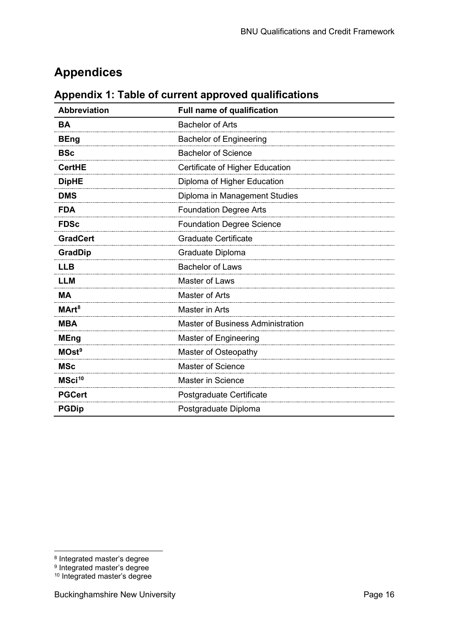# <span id="page-15-0"></span>**Appendices**

<span id="page-15-1"></span>

|  |  | Appendix 1: Table of current approved qualifications |  |
|--|--|------------------------------------------------------|--|
|--|--|------------------------------------------------------|--|

| <b>Abbreviation</b> | <b>Full name of qualification</b>        |
|---------------------|------------------------------------------|
| <b>BA</b>           | <b>Bachelor of Arts</b>                  |
| <b>BEng</b>         | <b>Bachelor of Engineering</b>           |
| <b>BSc</b>          | <b>Bachelor of Science</b>               |
| <b>CertHE</b>       | Certificate of Higher Education          |
| <b>DipHE</b>        | Diploma of Higher Education              |
| <b>DMS</b>          | Diploma in Management Studies            |
| <b>FDA</b>          | <b>Foundation Degree Arts</b>            |
| <b>FDSc</b>         | <b>Foundation Degree Science</b>         |
| <b>GradCert</b>     | <b>Graduate Certificate</b>              |
| <b>GradDip</b>      | Graduate Diploma                         |
| <b>LLB</b>          | <b>Bachelor of Laws</b>                  |
| <b>LLM</b>          | <b>Master of Laws</b>                    |
| <b>MA</b>           | Master of Arts                           |
| MArt <sup>8</sup>   | Master in Arts                           |
| <b>MBA</b>          | <b>Master of Business Administration</b> |
| <b>MEng</b>         | Master of Engineering                    |
| MOst <sup>9</sup>   | Master of Osteopathy                     |
| <b>MSc</b>          | <b>Master of Science</b>                 |
| MSci <sup>10</sup>  | <b>Master in Science</b>                 |
| <b>PGCert</b>       | Postgraduate Certificate                 |
| <b>PGDip</b>        | Postgraduate Diploma                     |

<span id="page-15-2"></span><sup>8</sup> Integrated master's degree

<span id="page-15-3"></span> $^{\rm 9}$  Integrated master's degree

<span id="page-15-4"></span><sup>&</sup>lt;sup>10</sup> Integrated master's degree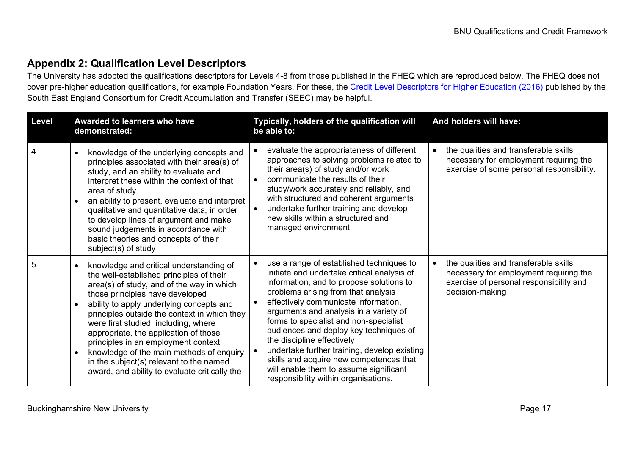# **Appendix 2: Qualification Level Descriptors**

The University has adopted the qualifications descriptors for Levels 4-8 from those published in the FHEQ which are reproduced below. The FHEQ does not cover pre-higher education qualifications, for example Foundation Years. For these, the [Credit Level Descriptors for Higher Education \(2016\)](https://www.seec.org.uk/wp-content/uploads/2016/07/SEEC-descriptors-2016.pdf) published by the South East England Consortium for Credit Accumulation and Transfer (SEEC) may be helpful.

<span id="page-16-0"></span>

| Level          | Awarded to learners who have<br>demonstrated:                                                                                                                                                                                                                                                                                                                                                                                                                                                                                                             | Typically, holders of the qualification will<br>be able to:                                                                                                                                                                                                                                                                                                                                                                                                                                                                                                 | And holders will have:                                                                                                                                     |
|----------------|-----------------------------------------------------------------------------------------------------------------------------------------------------------------------------------------------------------------------------------------------------------------------------------------------------------------------------------------------------------------------------------------------------------------------------------------------------------------------------------------------------------------------------------------------------------|-------------------------------------------------------------------------------------------------------------------------------------------------------------------------------------------------------------------------------------------------------------------------------------------------------------------------------------------------------------------------------------------------------------------------------------------------------------------------------------------------------------------------------------------------------------|------------------------------------------------------------------------------------------------------------------------------------------------------------|
| $\overline{4}$ | knowledge of the underlying concepts and<br>$\bullet$<br>principles associated with their area(s) of<br>study, and an ability to evaluate and<br>interpret these within the context of that<br>area of study<br>an ability to present, evaluate and interpret<br>qualitative and quantitative data, in order<br>to develop lines of argument and make<br>sound judgements in accordance with<br>basic theories and concepts of their<br>subject(s) of study                                                                                               | evaluate the appropriateness of different<br>$\bullet$<br>approaches to solving problems related to<br>their area(s) of study and/or work<br>communicate the results of their<br>study/work accurately and reliably, and<br>with structured and coherent arguments<br>undertake further training and develop<br>new skills within a structured and<br>managed environment                                                                                                                                                                                   | the qualities and transferable skills<br>necessary for employment requiring the<br>exercise of some personal responsibility.                               |
| 5              | knowledge and critical understanding of<br>the well-established principles of their<br>area(s) of study, and of the way in which<br>those principles have developed<br>ability to apply underlying concepts and<br>$\bullet$<br>principles outside the context in which they<br>were first studied, including, where<br>appropriate, the application of those<br>principles in an employment context<br>knowledge of the main methods of enquiry<br>$\bullet$<br>in the subject(s) relevant to the named<br>award, and ability to evaluate critically the | use a range of established techniques to<br>initiate and undertake critical analysis of<br>information, and to propose solutions to<br>problems arising from that analysis<br>effectively communicate information,<br>arguments and analysis in a variety of<br>forms to specialist and non-specialist<br>audiences and deploy key techniques of<br>the discipline effectively<br>undertake further training, develop existing<br>skills and acquire new competences that<br>will enable them to assume significant<br>responsibility within organisations. | the qualities and transferable skills<br>$\bullet$<br>necessary for employment requiring the<br>exercise of personal responsibility and<br>decision-making |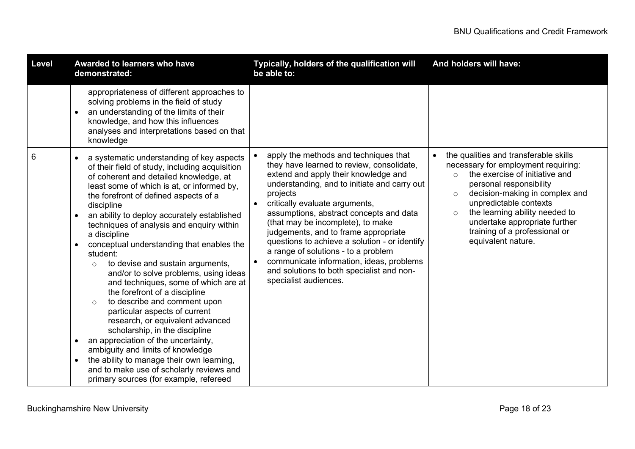| Level | Awarded to learners who have<br>demonstrated:                                                                                                                                                                                                                                                                                                                                                                                                                                                                                                                                                                                                                                                                                                                                                                                                                                                                                                      | Typically, holders of the qualification will<br>be able to:                                                                                                                                                                                                                                                                                                                                                                                                                                                                                                | And holders will have:                                                                                                                                                                                                                                                                                                                                                         |
|-------|----------------------------------------------------------------------------------------------------------------------------------------------------------------------------------------------------------------------------------------------------------------------------------------------------------------------------------------------------------------------------------------------------------------------------------------------------------------------------------------------------------------------------------------------------------------------------------------------------------------------------------------------------------------------------------------------------------------------------------------------------------------------------------------------------------------------------------------------------------------------------------------------------------------------------------------------------|------------------------------------------------------------------------------------------------------------------------------------------------------------------------------------------------------------------------------------------------------------------------------------------------------------------------------------------------------------------------------------------------------------------------------------------------------------------------------------------------------------------------------------------------------------|--------------------------------------------------------------------------------------------------------------------------------------------------------------------------------------------------------------------------------------------------------------------------------------------------------------------------------------------------------------------------------|
|       | appropriateness of different approaches to<br>solving problems in the field of study<br>an understanding of the limits of their<br>knowledge, and how this influences<br>analyses and interpretations based on that<br>knowledge                                                                                                                                                                                                                                                                                                                                                                                                                                                                                                                                                                                                                                                                                                                   |                                                                                                                                                                                                                                                                                                                                                                                                                                                                                                                                                            |                                                                                                                                                                                                                                                                                                                                                                                |
| 6     | a systematic understanding of key aspects<br>of their field of study, including acquisition<br>of coherent and detailed knowledge, at<br>least some of which is at, or informed by,<br>the forefront of defined aspects of a<br>discipline<br>an ability to deploy accurately established<br>techniques of analysis and enquiry within<br>a discipline<br>conceptual understanding that enables the<br>student:<br>to devise and sustain arguments,<br>$\circ$<br>and/or to solve problems, using ideas<br>and techniques, some of which are at<br>the forefront of a discipline<br>to describe and comment upon<br>$\Omega$<br>particular aspects of current<br>research, or equivalent advanced<br>scholarship, in the discipline<br>an appreciation of the uncertainty,<br>ambiguity and limits of knowledge<br>the ability to manage their own learning,<br>and to make use of scholarly reviews and<br>primary sources (for example, refereed | apply the methods and techniques that<br>they have learned to review, consolidate,<br>extend and apply their knowledge and<br>understanding, and to initiate and carry out<br>projects<br>critically evaluate arguments,<br>assumptions, abstract concepts and data<br>(that may be incomplete), to make<br>judgements, and to frame appropriate<br>questions to achieve a solution - or identify<br>a range of solutions - to a problem<br>communicate information, ideas, problems<br>and solutions to both specialist and non-<br>specialist audiences. | the qualities and transferable skills<br>$\bullet$<br>necessary for employment requiring:<br>the exercise of initiative and<br>$\Omega$<br>personal responsibility<br>decision-making in complex and<br>$\circ$<br>unpredictable contexts<br>the learning ability needed to<br>$\circ$<br>undertake appropriate further<br>training of a professional or<br>equivalent nature. |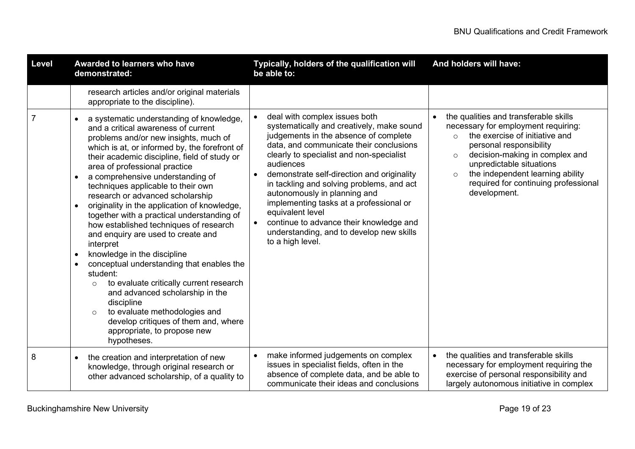| Level          | Awarded to learners who have<br>demonstrated:                                                                                                                                                                                                                                                                                                                                                                                                                                                                                                                                                                                                                                                                                                                                                                                                                                                                                                                         | Typically, holders of the qualification will<br>be able to:                                                                                                                                                                                                                                                                                                                                                                                                                                                                  | And holders will have:                                                                                                                                                                                                                                                                                                                             |
|----------------|-----------------------------------------------------------------------------------------------------------------------------------------------------------------------------------------------------------------------------------------------------------------------------------------------------------------------------------------------------------------------------------------------------------------------------------------------------------------------------------------------------------------------------------------------------------------------------------------------------------------------------------------------------------------------------------------------------------------------------------------------------------------------------------------------------------------------------------------------------------------------------------------------------------------------------------------------------------------------|------------------------------------------------------------------------------------------------------------------------------------------------------------------------------------------------------------------------------------------------------------------------------------------------------------------------------------------------------------------------------------------------------------------------------------------------------------------------------------------------------------------------------|----------------------------------------------------------------------------------------------------------------------------------------------------------------------------------------------------------------------------------------------------------------------------------------------------------------------------------------------------|
|                | research articles and/or original materials<br>appropriate to the discipline).                                                                                                                                                                                                                                                                                                                                                                                                                                                                                                                                                                                                                                                                                                                                                                                                                                                                                        |                                                                                                                                                                                                                                                                                                                                                                                                                                                                                                                              |                                                                                                                                                                                                                                                                                                                                                    |
| $\overline{7}$ | a systematic understanding of knowledge,<br>$\bullet$<br>and a critical awareness of current<br>problems and/or new insights, much of<br>which is at, or informed by, the forefront of<br>their academic discipline, field of study or<br>area of professional practice<br>a comprehensive understanding of<br>$\bullet$<br>techniques applicable to their own<br>research or advanced scholarship<br>originality in the application of knowledge,<br>$\bullet$<br>together with a practical understanding of<br>how established techniques of research<br>and enquiry are used to create and<br>interpret<br>knowledge in the discipline<br>$\bullet$<br>conceptual understanding that enables the<br>$\bullet$<br>student:<br>to evaluate critically current research<br>$\circ$<br>and advanced scholarship in the<br>discipline<br>to evaluate methodologies and<br>$\circ$<br>develop critiques of them and, where<br>appropriate, to propose new<br>hypotheses. | deal with complex issues both<br>systematically and creatively, make sound<br>judgements in the absence of complete<br>data, and communicate their conclusions<br>clearly to specialist and non-specialist<br>audiences<br>demonstrate self-direction and originality<br>in tackling and solving problems, and act<br>autonomously in planning and<br>implementing tasks at a professional or<br>equivalent level<br>continue to advance their knowledge and<br>understanding, and to develop new skills<br>to a high level. | the qualities and transferable skills<br>$\bullet$<br>necessary for employment requiring:<br>the exercise of initiative and<br>$\Omega$<br>personal responsibility<br>decision-making in complex and<br>$\circ$<br>unpredictable situations<br>the independent learning ability<br>$\circ$<br>required for continuing professional<br>development. |
| 8              | the creation and interpretation of new<br>$\bullet$<br>knowledge, through original research or<br>other advanced scholarship, of a quality to                                                                                                                                                                                                                                                                                                                                                                                                                                                                                                                                                                                                                                                                                                                                                                                                                         | make informed judgements on complex<br>issues in specialist fields, often in the<br>absence of complete data, and be able to<br>communicate their ideas and conclusions                                                                                                                                                                                                                                                                                                                                                      | the qualities and transferable skills<br>$\bullet$<br>necessary for employment requiring the<br>exercise of personal responsibility and<br>largely autonomous initiative in complex                                                                                                                                                                |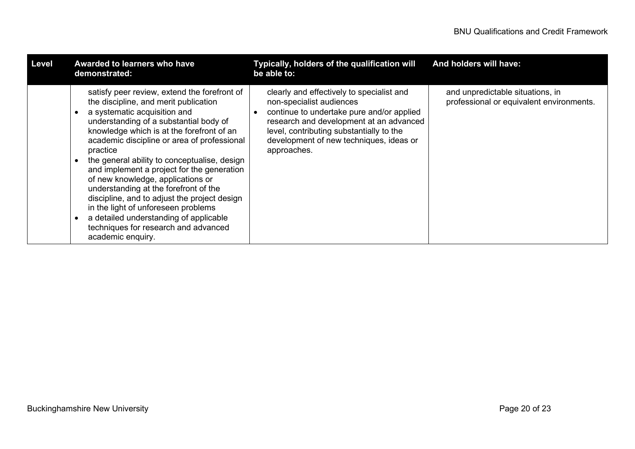| Level | Awarded to learners who have<br>demonstrated:                                                                                                                                                                                                                                                                                                                                                                                                                                                                                                                                                                                                     | Typically, holders of the qualification will<br>be able to:                                                                                                                                                                                                         | And holders will have:                                                       |
|-------|---------------------------------------------------------------------------------------------------------------------------------------------------------------------------------------------------------------------------------------------------------------------------------------------------------------------------------------------------------------------------------------------------------------------------------------------------------------------------------------------------------------------------------------------------------------------------------------------------------------------------------------------------|---------------------------------------------------------------------------------------------------------------------------------------------------------------------------------------------------------------------------------------------------------------------|------------------------------------------------------------------------------|
|       | satisfy peer review, extend the forefront of<br>the discipline, and merit publication<br>a systematic acquisition and<br>understanding of a substantial body of<br>knowledge which is at the forefront of an<br>academic discipline or area of professional<br>practice<br>the general ability to conceptualise, design<br>and implement a project for the generation<br>of new knowledge, applications or<br>understanding at the forefront of the<br>discipline, and to adjust the project design<br>in the light of unforeseen problems<br>a detailed understanding of applicable<br>techniques for research and advanced<br>academic enquiry. | clearly and effectively to specialist and<br>non-specialist audiences<br>continue to undertake pure and/or applied<br>research and development at an advanced<br>level, contributing substantially to the<br>development of new techniques, ideas or<br>approaches. | and unpredictable situations, in<br>professional or equivalent environments. |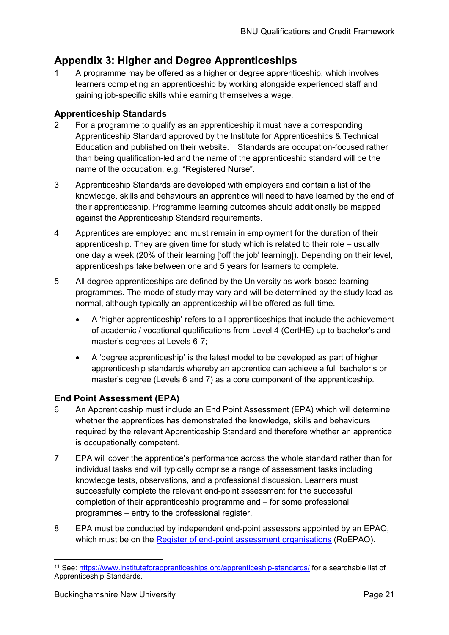# <span id="page-20-0"></span>**Appendix 3: Higher and Degree Apprenticeships**

1 A programme may be offered as a higher or degree apprenticeship, which involves learners completing an apprenticeship by working alongside experienced staff and gaining job-specific skills while earning themselves a wage.

#### **Apprenticeship Standards**

- 2 For a programme to qualify as an apprenticeship it must have a corresponding Apprenticeship Standard approved by the Institute for Apprenticeships & Technical Education and published on their website.<sup>[11](#page-20-1)</sup> Standards are occupation-focused rather than being qualification-led and the name of the apprenticeship standard will be the name of the occupation, e.g. "Registered Nurse".
- 3 Apprenticeship Standards are developed with employers and contain a list of the knowledge, skills and behaviours an apprentice will need to have learned by the end of their apprenticeship. Programme learning outcomes should additionally be mapped against the Apprenticeship Standard requirements.
- 4 Apprentices are employed and must remain in employment for the duration of their apprenticeship. They are given time for study which is related to their role – usually one day a week (20% of their learning ['off the job' learning]). Depending on their level, apprenticeships take between one and 5 years for learners to complete.
- 5 All degree apprenticeships are defined by the University as work-based learning programmes. The mode of study may vary and will be determined by the study load as normal, although typically an apprenticeship will be offered as full-time.
	- A 'higher apprenticeship' refers to all apprenticeships that include the achievement of academic / vocational qualifications from Level 4 (CertHE) up to bachelor's and master's degrees at Levels 6-7;
	- A 'degree apprenticeship' is the latest model to be developed as part of higher apprenticeship standards whereby an apprentice can achieve a full bachelor's or master's degree (Levels 6 and 7) as a core component of the apprenticeship.

#### **End Point Assessment (EPA)**

- 6 An Apprenticeship must include an End Point Assessment (EPA) which will determine whether the apprentices has demonstrated the knowledge, skills and behaviours required by the relevant Apprenticeship Standard and therefore whether an apprentice is occupationally competent.
- 7 EPA will cover the apprentice's performance across the whole standard rather than for individual tasks and will typically comprise a range of assessment tasks including knowledge tests, observations, and a professional discussion. Learners must successfully complete the relevant end-point assessment for the successful completion of their apprenticeship programme and – for some professional programmes – entry to the professional register.
- 8 EPA must be conducted by independent end-point assessors appointed by an EPAO, which must be on the [Register of end-point assessment organisations](https://www.gov.uk/guidance/register-of-end-point-assessment-organisations) (RoEPAO).

<span id="page-20-1"></span><sup>11</sup> See:<https://www.instituteforapprenticeships.org/apprenticeship-standards/> for a searchable list of Apprenticeship Standards.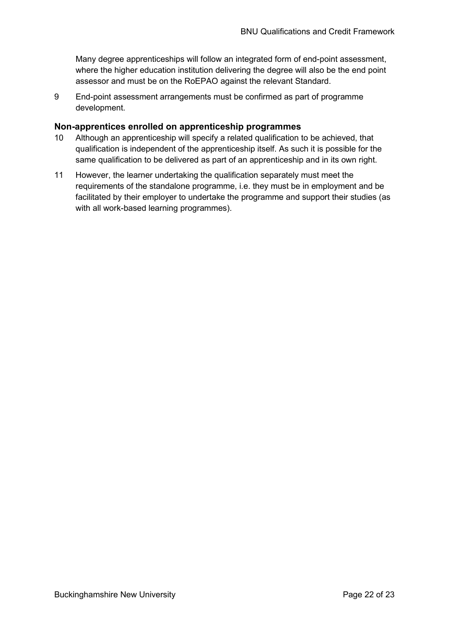Many degree apprenticeships will follow an integrated form of end-point assessment, where the higher education institution delivering the degree will also be the end point assessor and must be on the RoEPAO against the relevant Standard.

9 End-point assessment arrangements must be confirmed as part of programme development.

#### **Non-apprentices enrolled on apprenticeship programmes**

- 10 Although an apprenticeship will specify a related qualification to be achieved, that qualification is independent of the apprenticeship itself. As such it is possible for the same qualification to be delivered as part of an apprenticeship and in its own right.
- 11 However, the learner undertaking the qualification separately must meet the requirements of the standalone programme, i.e. they must be in employment and be facilitated by their employer to undertake the programme and support their studies (as with all work-based learning programmes).